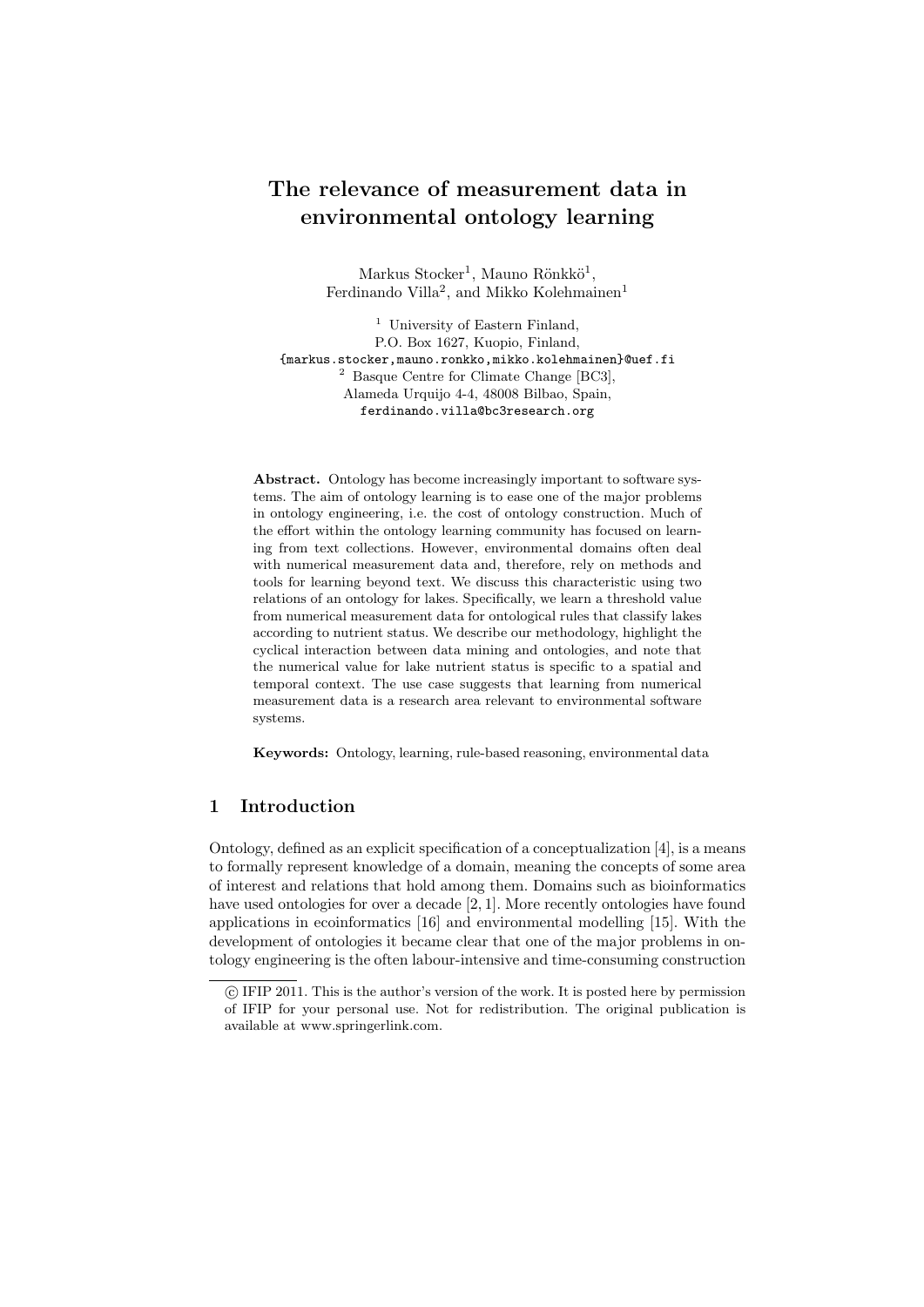# The relevance of measurement data in environmental ontology learning

 $Markus Stocker<sup>1</sup>, Mauno Rönkkö<sup>1</sup>,$ Ferdinando Villa<sup>2</sup>, and Mikko Kolehmainen<sup>1</sup>

<sup>1</sup> University of Eastern Finland, P.O. Box 1627, Kuopio, Finland, {markus.stocker,mauno.ronkko,mikko.kolehmainen}@uef.fi <sup>2</sup> Basque Centre for Climate Change [BC3], Alameda Urquijo 4-4, 48008 Bilbao, Spain, ferdinando.villa@bc3research.org

Abstract. Ontology has become increasingly important to software systems. The aim of ontology learning is to ease one of the major problems in ontology engineering, i.e. the cost of ontology construction. Much of the effort within the ontology learning community has focused on learning from text collections. However, environmental domains often deal with numerical measurement data and, therefore, rely on methods and tools for learning beyond text. We discuss this characteristic using two relations of an ontology for lakes. Specifically, we learn a threshold value from numerical measurement data for ontological rules that classify lakes according to nutrient status. We describe our methodology, highlight the cyclical interaction between data mining and ontologies, and note that the numerical value for lake nutrient status is specific to a spatial and temporal context. The use case suggests that learning from numerical measurement data is a research area relevant to environmental software systems.

Keywords: Ontology, learning, rule-based reasoning, environmental data

## 1 Introduction

Ontology, defined as an explicit specification of a conceptualization [4], is a means to formally represent knowledge of a domain, meaning the concepts of some area of interest and relations that hold among them. Domains such as bioinformatics have used ontologies for over a decade [2, 1]. More recently ontologies have found applications in ecoinformatics [16] and environmental modelling [15]. With the development of ontologies it became clear that one of the major problems in ontology engineering is the often labour-intensive and time-consuming construction

c IFIP 2011. This is the author's version of the work. It is posted here by permission of IFIP for your personal use. Not for redistribution. The original publication is available at www.springerlink.com.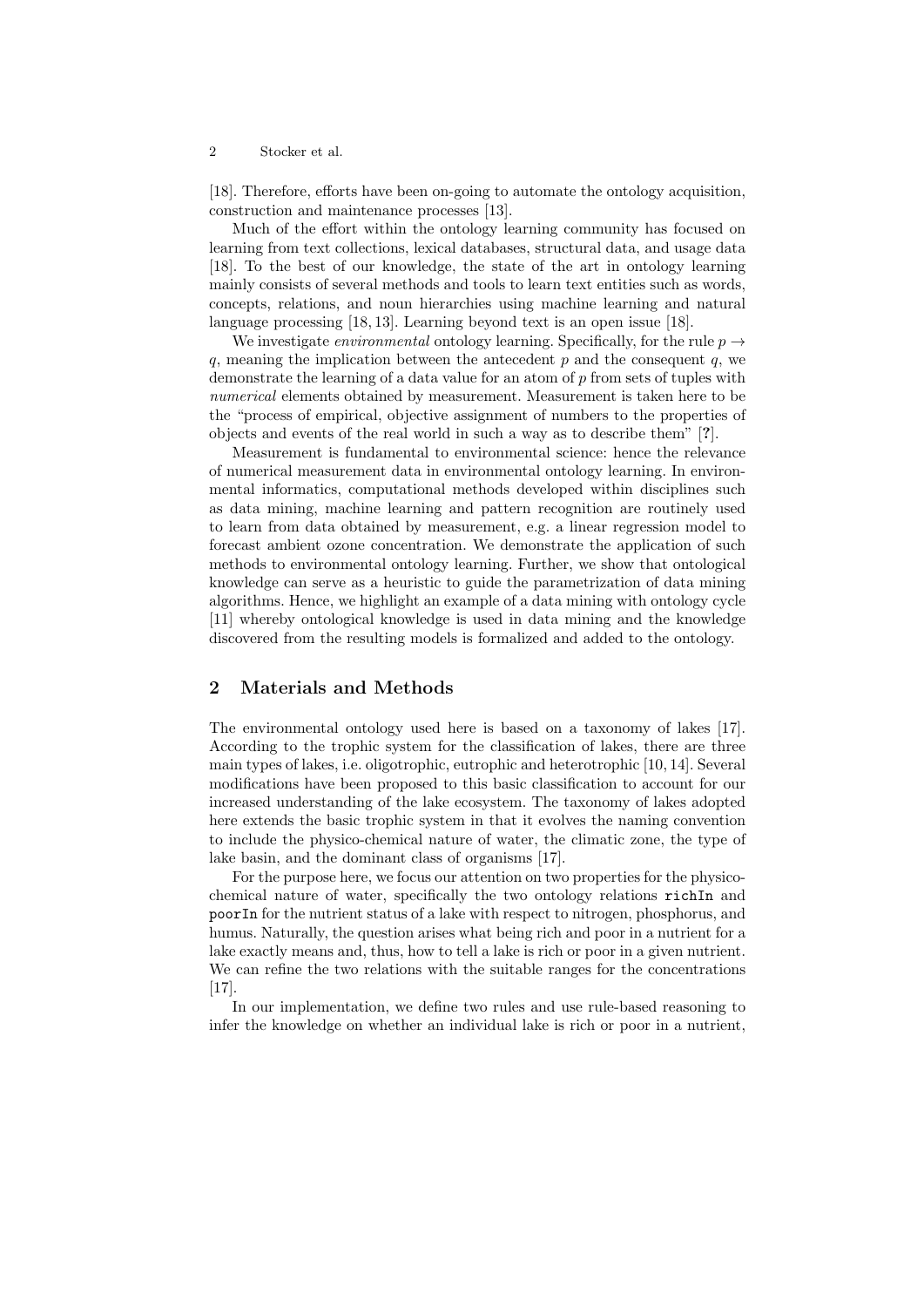#### 2 Stocker et al.

[18]. Therefore, efforts have been on-going to automate the ontology acquisition, construction and maintenance processes [13].

Much of the effort within the ontology learning community has focused on learning from text collections, lexical databases, structural data, and usage data [18]. To the best of our knowledge, the state of the art in ontology learning mainly consists of several methods and tools to learn text entities such as words, concepts, relations, and noun hierarchies using machine learning and natural language processing [18, 13]. Learning beyond text is an open issue [18].

We investigate *environmental* ontology learning. Specifically, for the rule  $p \rightarrow$ q, meaning the implication between the antecedent  $p$  and the consequent  $q$ , we demonstrate the learning of a data value for an atom of p from sets of tuples with numerical elements obtained by measurement. Measurement is taken here to be the "process of empirical, objective assignment of numbers to the properties of objects and events of the real world in such a way as to describe them" [?].

Measurement is fundamental to environmental science: hence the relevance of numerical measurement data in environmental ontology learning. In environmental informatics, computational methods developed within disciplines such as data mining, machine learning and pattern recognition are routinely used to learn from data obtained by measurement, e.g. a linear regression model to forecast ambient ozone concentration. We demonstrate the application of such methods to environmental ontology learning. Further, we show that ontological knowledge can serve as a heuristic to guide the parametrization of data mining algorithms. Hence, we highlight an example of a data mining with ontology cycle [11] whereby ontological knowledge is used in data mining and the knowledge discovered from the resulting models is formalized and added to the ontology.

### 2 Materials and Methods

The environmental ontology used here is based on a taxonomy of lakes [17]. According to the trophic system for the classification of lakes, there are three main types of lakes, i.e. oligotrophic, eutrophic and heterotrophic [10, 14]. Several modifications have been proposed to this basic classification to account for our increased understanding of the lake ecosystem. The taxonomy of lakes adopted here extends the basic trophic system in that it evolves the naming convention to include the physico-chemical nature of water, the climatic zone, the type of lake basin, and the dominant class of organisms [17].

For the purpose here, we focus our attention on two properties for the physicochemical nature of water, specifically the two ontology relations richIn and poorIn for the nutrient status of a lake with respect to nitrogen, phosphorus, and humus. Naturally, the question arises what being rich and poor in a nutrient for a lake exactly means and, thus, how to tell a lake is rich or poor in a given nutrient. We can refine the two relations with the suitable ranges for the concentrations [17].

In our implementation, we define two rules and use rule-based reasoning to infer the knowledge on whether an individual lake is rich or poor in a nutrient,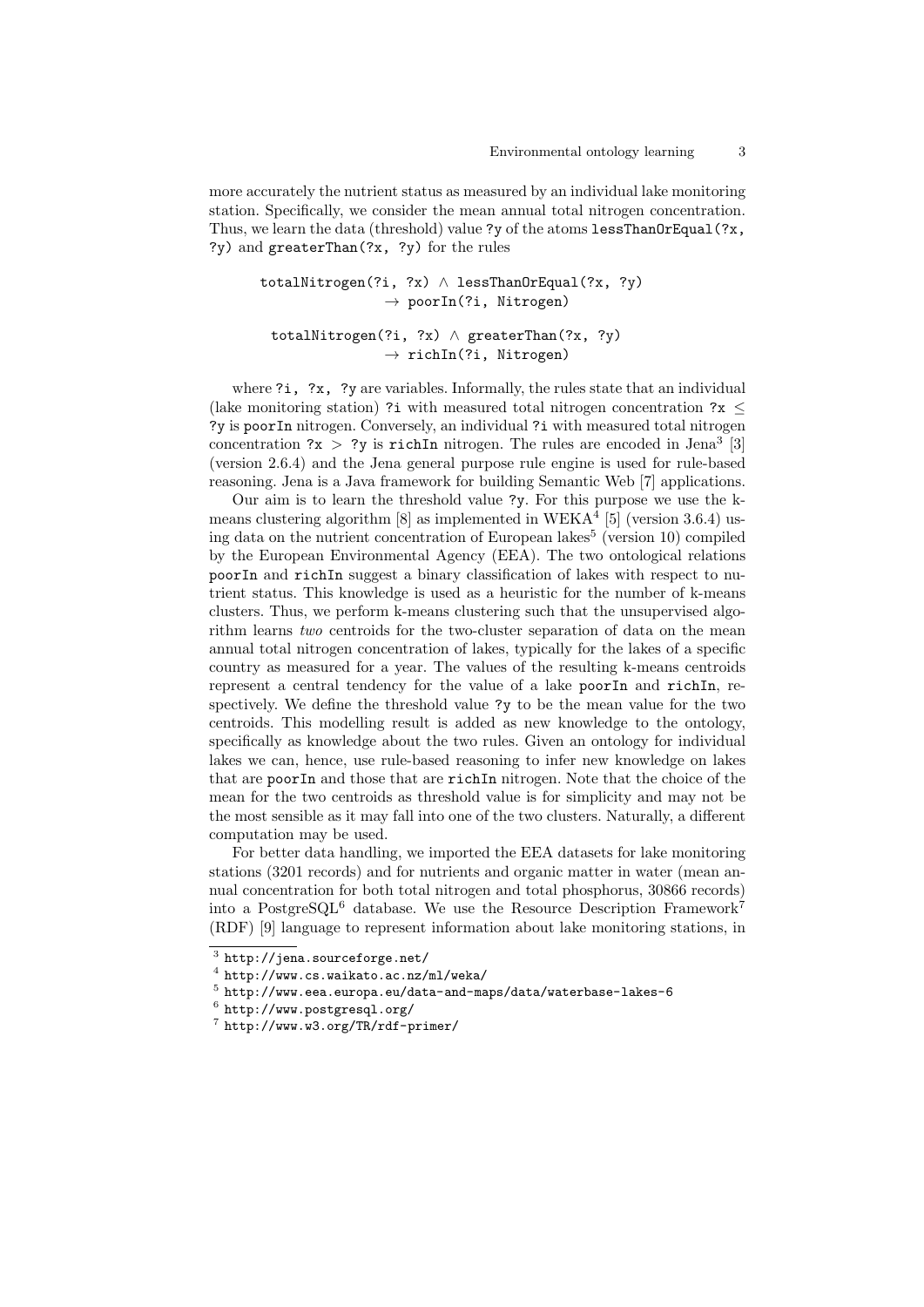more accurately the nutrient status as measured by an individual lake monitoring station. Specifically, we consider the mean annual total nitrogen concentration. Thus, we learn the data (threshold) value ?y of the atoms lessThanOrEqual(?x, ?y) and greaterThan(?x, ?y) for the rules

totalNitrogen(?i, ?x)  $\land$  lessThanOrEqual(?x, ?y)  $\rightarrow$  poorIn(?i, Nitrogen)

totalNitrogen(?i, ?x)  $\land$  greaterThan(?x, ?y)  $\rightarrow$  richIn(?i, Nitrogen)

where ?i, ?x, ?y are variables. Informally, the rules state that an individual (lake monitoring station) ?i with measured total nitrogen concentration ?x  $\leq$ ?y is poor In nitrogen. Conversely, an individual ?i with measured total nitrogen concentration  $?x > ?y$  is richIn nitrogen. The rules are encoded in Jena<sup>3</sup> [3] (version 2.6.4) and the Jena general purpose rule engine is used for rule-based reasoning. Jena is a Java framework for building Semantic Web [7] applications.

Our aim is to learn the threshold value ?y. For this purpose we use the kmeans clustering algorithm  $[8]$  as implemented in WEKA<sup>4</sup>  $[5]$  (version 3.6.4) using data on the nutrient concentration of European lakes<sup>5</sup> (version 10) compiled by the European Environmental Agency (EEA). The two ontological relations poorIn and richIn suggest a binary classification of lakes with respect to nutrient status. This knowledge is used as a heuristic for the number of k-means clusters. Thus, we perform k-means clustering such that the unsupervised algorithm learns two centroids for the two-cluster separation of data on the mean annual total nitrogen concentration of lakes, typically for the lakes of a specific country as measured for a year. The values of the resulting k-means centroids represent a central tendency for the value of a lake poorIn and richIn, respectively. We define the threshold value ?y to be the mean value for the two centroids. This modelling result is added as new knowledge to the ontology, specifically as knowledge about the two rules. Given an ontology for individual lakes we can, hence, use rule-based reasoning to infer new knowledge on lakes that are poorIn and those that are richIn nitrogen. Note that the choice of the mean for the two centroids as threshold value is for simplicity and may not be the most sensible as it may fall into one of the two clusters. Naturally, a different computation may be used.

For better data handling, we imported the EEA datasets for lake monitoring stations (3201 records) and for nutrients and organic matter in water (mean annual concentration for both total nitrogen and total phosphorus, 30866 records) into a PostgreSQL<sup>6</sup> database. We use the Resource Description Framework<sup>7</sup> (RDF) [9] language to represent information about lake monitoring stations, in

 $^3$  http://jena.sourceforge.net/

 $^4$  http://www.cs.waikato.ac.nz/ml/weka/

 $^5$  http://www.eea.europa.eu/data-and-maps/data/waterbase-lakes- $6\,$ 

 $^6$  http://www.postgresql.org/

<sup>7</sup> http://www.w3.org/TR/rdf-primer/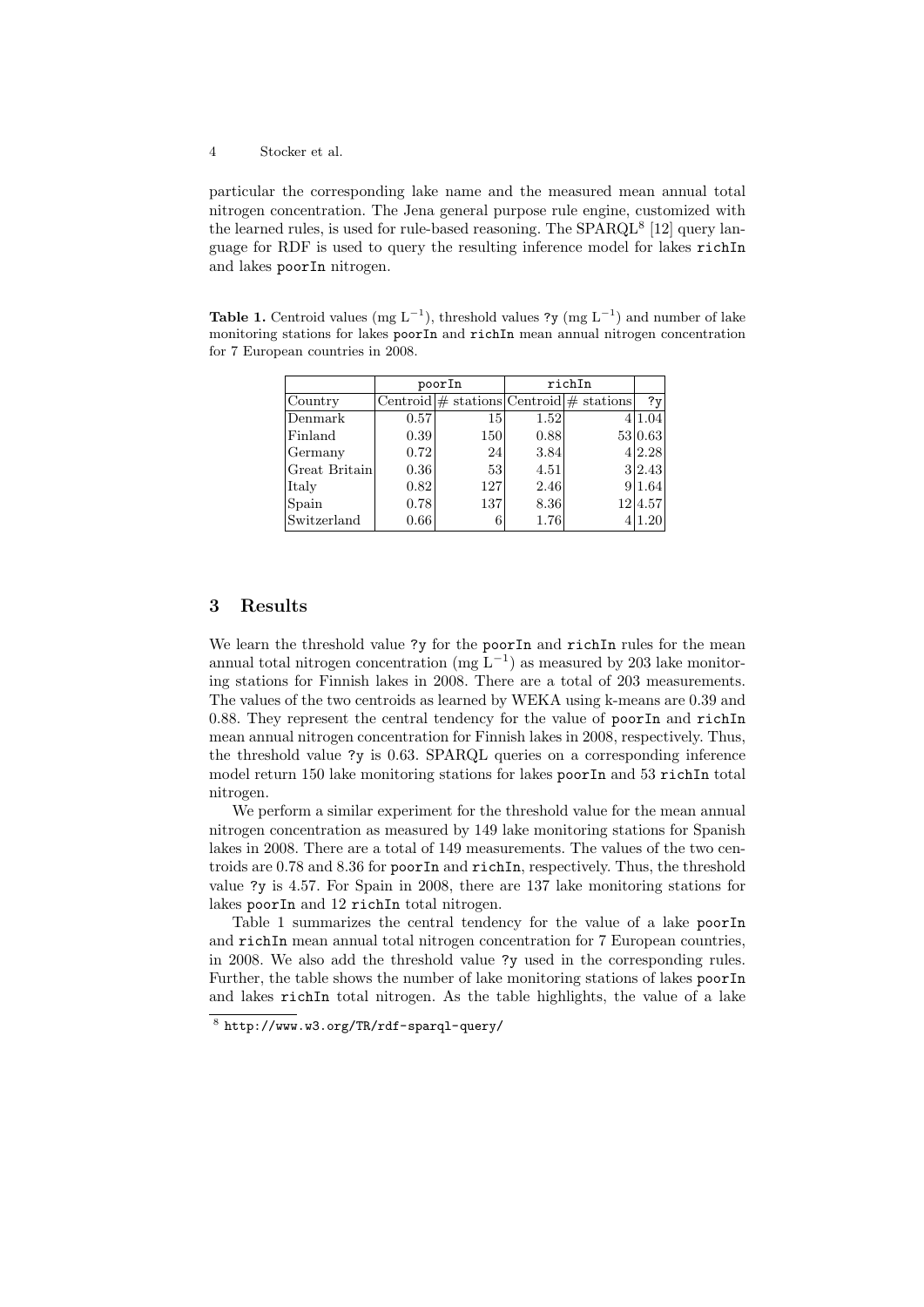particular the corresponding lake name and the measured mean annual total nitrogen concentration. The Jena general purpose rule engine, customized with the learned rules, is used for rule-based reasoning. The  $SPARQL^8$  [12] query language for RDF is used to query the resulting inference model for lakes richIn and lakes poorIn nitrogen.

**Table 1.** Centroid values (mg  $L^{-1}$ ), threshold values ?y (mg  $L^{-1}$ ) and number of lake monitoring stations for lakes poorIn and richIn mean annual nitrogen concentration for 7 European countries in 2008.

|               | poorIn |                                               | richIn |  |         |
|---------------|--------|-----------------------------------------------|--------|--|---------|
| Country       |        | Centroid $\#$ stations Centroid $\#$ stations |        |  | ?v      |
| Denmark       | 0.57   | 15                                            | 1.52   |  | 4 1.04  |
| Finaland      | 0.39   | 150                                           | 0.88   |  | 53 0.63 |
| Germany       | 0.72   | 24                                            | 3.84   |  | 4 2.28  |
| Great Britain | 0.36   | 53                                            | 4.51   |  | 3 2.43  |
| Italy         | 0.82   | 127                                           | 2.46   |  | 9 1.64  |
| Spain         | 0.78   | 137                                           | 8.36   |  | 12 4.57 |
| Switzerland   | 0.66   | 6                                             | 1.76   |  | 1.20    |

# 3 Results

We learn the threshold value ?y for the poorIn and richIn rules for the mean annual total nitrogen concentration (mg  $L^{-1}$ ) as measured by 203 lake monitoring stations for Finnish lakes in 2008. There are a total of 203 measurements. The values of the two centroids as learned by WEKA using k-means are 0.39 and 0.88. They represent the central tendency for the value of poorIn and richIn mean annual nitrogen concentration for Finnish lakes in 2008, respectively. Thus, the threshold value ?y is 0.63. SPARQL queries on a corresponding inference model return 150 lake monitoring stations for lakes poorIn and 53 richIn total nitrogen.

We perform a similar experiment for the threshold value for the mean annual nitrogen concentration as measured by 149 lake monitoring stations for Spanish lakes in 2008. There are a total of 149 measurements. The values of the two centroids are 0.78 and 8.36 for poorIn and richIn, respectively. Thus, the threshold value ?y is 4.57. For Spain in 2008, there are 137 lake monitoring stations for lakes poorIn and 12 richIn total nitrogen.

Table 1 summarizes the central tendency for the value of a lake poorIn and richIn mean annual total nitrogen concentration for 7 European countries, in 2008. We also add the threshold value ?y used in the corresponding rules. Further, the table shows the number of lake monitoring stations of lakes poorIn and lakes richIn total nitrogen. As the table highlights, the value of a lake

 $^8$  http://www.w3.org/TR/rdf-sparql-query/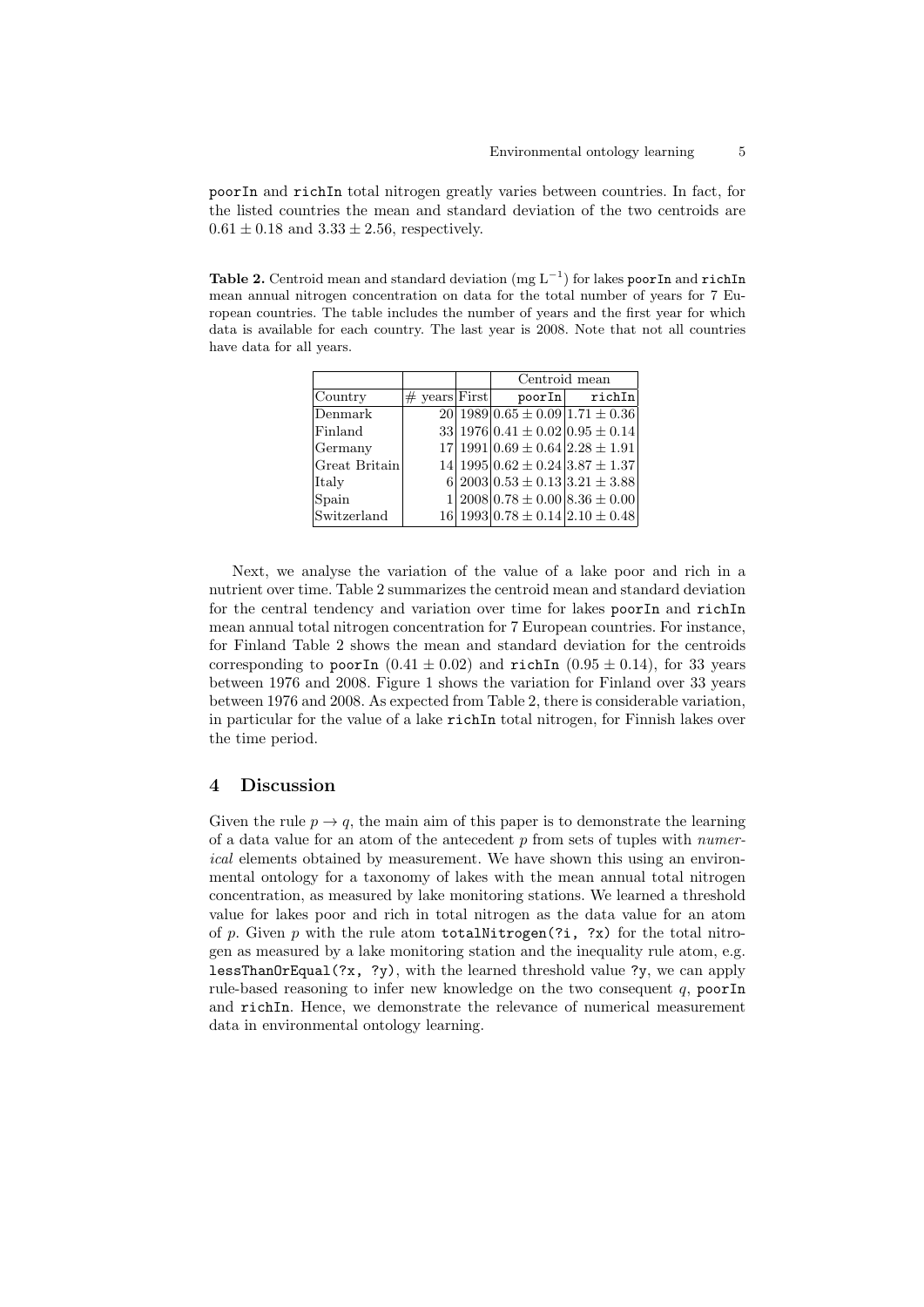poorIn and richIn total nitrogen greatly varies between countries. In fact, for the listed countries the mean and standard deviation of the two centroids are  $0.61 \pm 0.18$  and  $3.33 \pm 2.56$ , respectively.

**Table 2.** Centroid mean and standard deviation (mg  $L^{-1}$ ) for lakes poorIn and richIn mean annual nitrogen concentration on data for the total number of years for 7 European countries. The table includes the number of years and the first year for which data is available for each country. The last year is 2008. Note that not all countries have data for all years.

|               |                  | Centroid mean                          |               |  |
|---------------|------------------|----------------------------------------|---------------|--|
| Country       | $\#$ years First |                                        | poorIn richIn |  |
| Denmark       |                  | $20 1989 0.65 \pm 0.09 1.71 \pm 0.36$  |               |  |
| Finland       |                  | $33 1976 0.41 \pm 0.02 0.95 \pm 0.14$  |               |  |
| Germany       |                  | $17 1991 0.69 \pm 0.64 2.28 \pm 1.91$  |               |  |
| Great Britain |                  | $14 1995 0.62 \pm 0.24 3.87 \pm 1.37$  |               |  |
| Italy         |                  | 6 2003 0.53 $\pm$ 0.13 3.21 $\pm$ 3.88 |               |  |
| Spain         |                  | $1 2008 0.78 \pm 0.00 8.36 \pm 0.00$   |               |  |
| Switzerland   |                  | $16 1993 0.78 \pm 0.14 2.10 \pm 0.48$  |               |  |

Next, we analyse the variation of the value of a lake poor and rich in a nutrient over time. Table 2 summarizes the centroid mean and standard deviation for the central tendency and variation over time for lakes poorIn and richIn mean annual total nitrogen concentration for 7 European countries. For instance, for Finland Table 2 shows the mean and standard deviation for the centroids corresponding to poorIn  $(0.41 \pm 0.02)$  and richIn  $(0.95 \pm 0.14)$ , for 33 years between 1976 and 2008. Figure 1 shows the variation for Finland over 33 years between 1976 and 2008. As expected from Table 2, there is considerable variation, in particular for the value of a lake richIn total nitrogen, for Finnish lakes over the time period.

### 4 Discussion

Given the rule  $p \to q$ , the main aim of this paper is to demonstrate the learning of a data value for an atom of the antecedent  $p$  from sets of tuples with numerical elements obtained by measurement. We have shown this using an environmental ontology for a taxonomy of lakes with the mean annual total nitrogen concentration, as measured by lake monitoring stations. We learned a threshold value for lakes poor and rich in total nitrogen as the data value for an atom of  $p$ . Given  $p$  with the rule atom totalNitrogen(?i, ?x) for the total nitrogen as measured by a lake monitoring station and the inequality rule atom, e.g. lessThanOrEqual(?x, ?y), with the learned threshold value ?y, we can apply rule-based reasoning to infer new knowledge on the two consequent  $q$ , poorIn and richIn. Hence, we demonstrate the relevance of numerical measurement data in environmental ontology learning.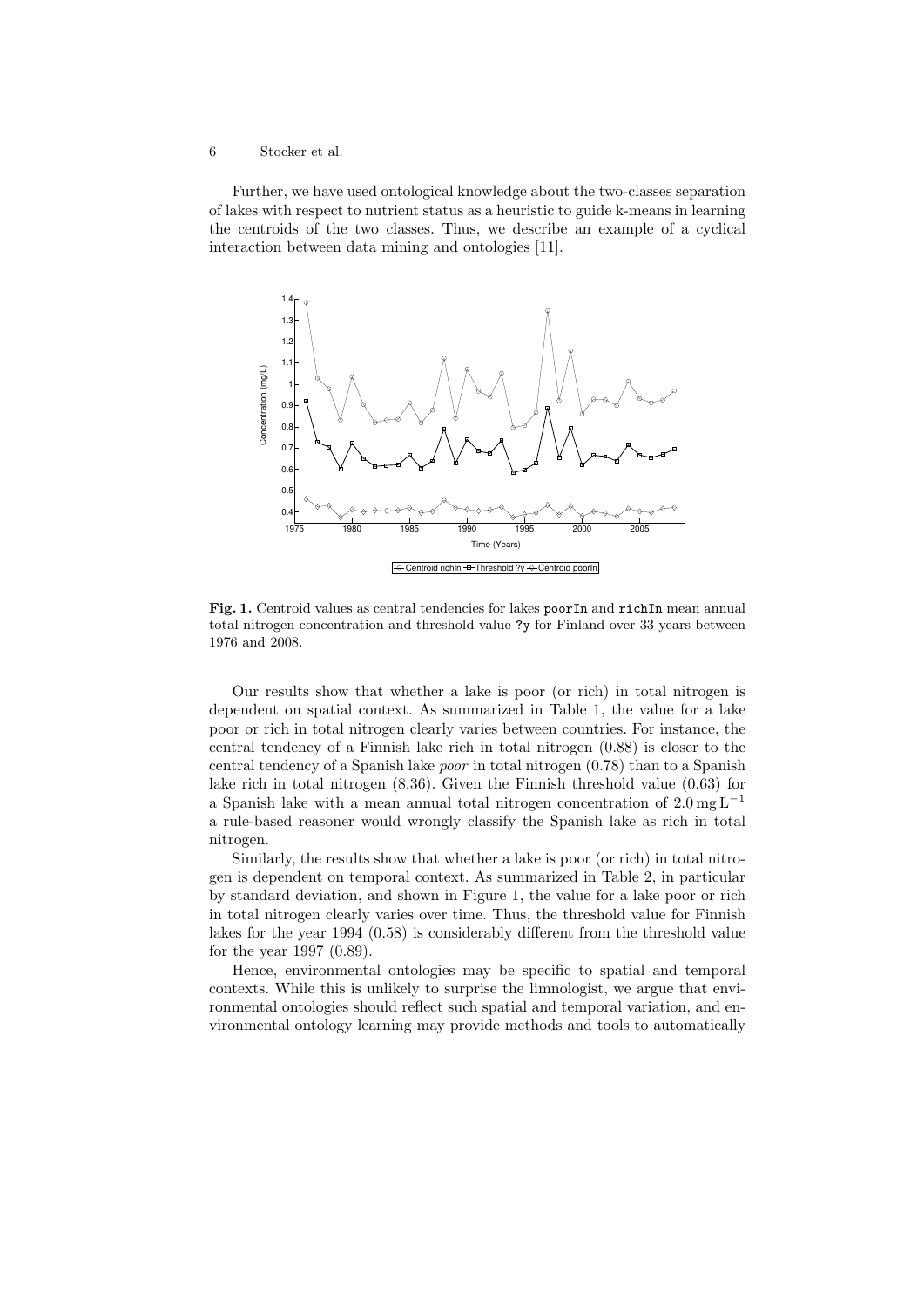#### 6 Stocker et al.

Further, we have used ontological knowledge about the two-classes separation of lakes with respect to nutrient status as a heuristic to guide k-means in learning the centroids of the two classes. Thus, we describe an example of a cyclical interaction between data mining and ontologies [11].



Fig. 1. Centroid values as central tendencies for lakes poorIn and richIn mean annual total nitrogen concentration and threshold value ?y for Finland over 33 years between 1976 and 2008.

Our results show that whether a lake is poor (or rich) in total nitrogen is dependent on spatial context. As summarized in Table 1, the value for a lake poor or rich in total nitrogen clearly varies between countries. For instance, the central tendency of a Finnish lake rich in total nitrogen (0.88) is closer to the central tendency of a Spanish lake poor in total nitrogen (0.78) than to a Spanish lake rich in total nitrogen (8.36). Given the Finnish threshold value (0.63) for a Spanish lake with a mean annual total nitrogen concentration of  $2.0 \text{ mg L}^{-1}$ a rule-based reasoner would wrongly classify the Spanish lake as rich in total nitrogen.

Similarly, the results show that whether a lake is poor (or rich) in total nitrogen is dependent on temporal context. As summarized in Table 2, in particular by standard deviation, and shown in Figure 1, the value for a lake poor or rich in total nitrogen clearly varies over time. Thus, the threshold value for Finnish lakes for the year 1994 (0.58) is considerably different from the threshold value for the year 1997 (0.89).

Hence, environmental ontologies may be specific to spatial and temporal contexts. While this is unlikely to surprise the limnologist, we argue that environmental ontologies should reflect such spatial and temporal variation, and environmental ontology learning may provide methods and tools to automatically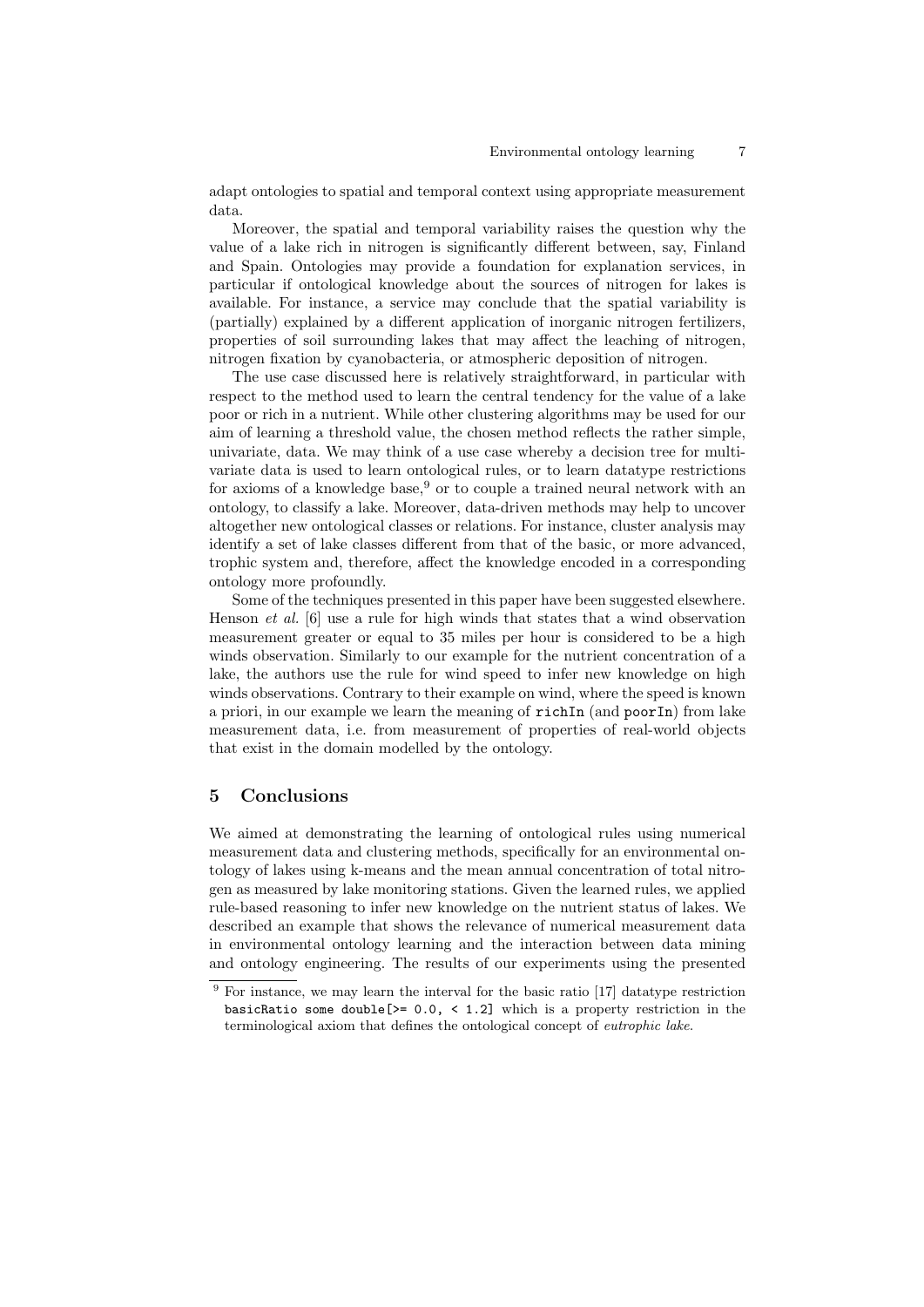adapt ontologies to spatial and temporal context using appropriate measurement data.

Moreover, the spatial and temporal variability raises the question why the value of a lake rich in nitrogen is significantly different between, say, Finland and Spain. Ontologies may provide a foundation for explanation services, in particular if ontological knowledge about the sources of nitrogen for lakes is available. For instance, a service may conclude that the spatial variability is (partially) explained by a different application of inorganic nitrogen fertilizers, properties of soil surrounding lakes that may affect the leaching of nitrogen, nitrogen fixation by cyanobacteria, or atmospheric deposition of nitrogen.

The use case discussed here is relatively straightforward, in particular with respect to the method used to learn the central tendency for the value of a lake poor or rich in a nutrient. While other clustering algorithms may be used for our aim of learning a threshold value, the chosen method reflects the rather simple, univariate, data. We may think of a use case whereby a decision tree for multivariate data is used to learn ontological rules, or to learn datatype restrictions for axioms of a knowledge base,  $9$  or to couple a trained neural network with an ontology, to classify a lake. Moreover, data-driven methods may help to uncover altogether new ontological classes or relations. For instance, cluster analysis may identify a set of lake classes different from that of the basic, or more advanced, trophic system and, therefore, affect the knowledge encoded in a corresponding ontology more profoundly.

Some of the techniques presented in this paper have been suggested elsewhere. Henson et al. [6] use a rule for high winds that states that a wind observation measurement greater or equal to 35 miles per hour is considered to be a high winds observation. Similarly to our example for the nutrient concentration of a lake, the authors use the rule for wind speed to infer new knowledge on high winds observations. Contrary to their example on wind, where the speed is known a priori, in our example we learn the meaning of richIn (and poorIn) from lake measurement data, i.e. from measurement of properties of real-world objects that exist in the domain modelled by the ontology.

### 5 Conclusions

We aimed at demonstrating the learning of ontological rules using numerical measurement data and clustering methods, specifically for an environmental ontology of lakes using k-means and the mean annual concentration of total nitrogen as measured by lake monitoring stations. Given the learned rules, we applied rule-based reasoning to infer new knowledge on the nutrient status of lakes. We described an example that shows the relevance of numerical measurement data in environmental ontology learning and the interaction between data mining and ontology engineering. The results of our experiments using the presented

<sup>&</sup>lt;sup>9</sup> For instance, we may learn the interval for the basic ratio [17] datatype restriction basicRatio some double  $[>= 0.0, < 1.2]$  which is a property restriction in the terminological axiom that defines the ontological concept of eutrophic lake.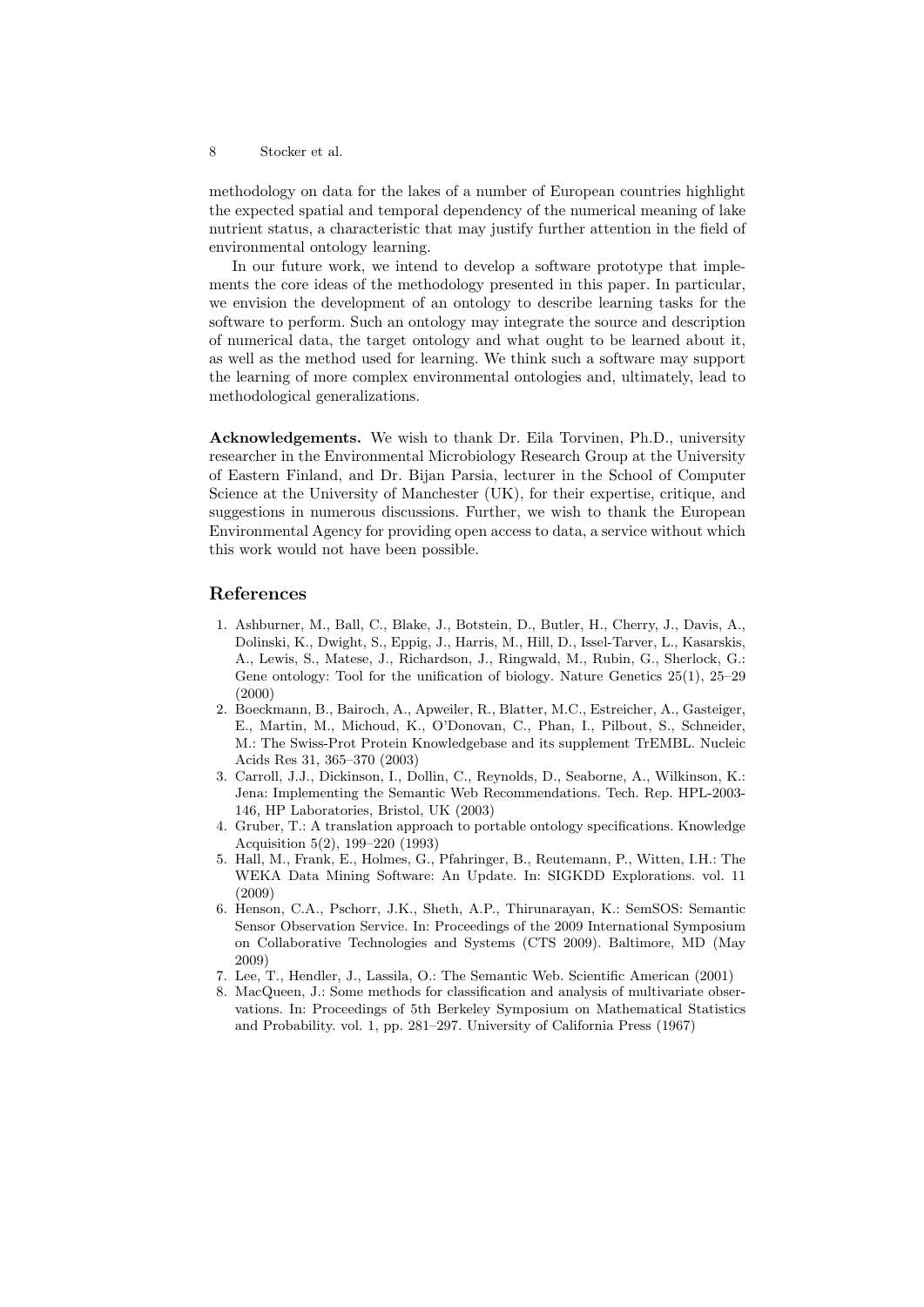methodology on data for the lakes of a number of European countries highlight the expected spatial and temporal dependency of the numerical meaning of lake nutrient status, a characteristic that may justify further attention in the field of environmental ontology learning.

In our future work, we intend to develop a software prototype that implements the core ideas of the methodology presented in this paper. In particular, we envision the development of an ontology to describe learning tasks for the software to perform. Such an ontology may integrate the source and description of numerical data, the target ontology and what ought to be learned about it, as well as the method used for learning. We think such a software may support the learning of more complex environmental ontologies and, ultimately, lead to methodological generalizations.

Acknowledgements. We wish to thank Dr. Eila Torvinen, Ph.D., university researcher in the Environmental Microbiology Research Group at the University of Eastern Finland, and Dr. Bijan Parsia, lecturer in the School of Computer Science at the University of Manchester (UK), for their expertise, critique, and suggestions in numerous discussions. Further, we wish to thank the European Environmental Agency for providing open access to data, a service without which this work would not have been possible.

#### References

- 1. Ashburner, M., Ball, C., Blake, J., Botstein, D., Butler, H., Cherry, J., Davis, A., Dolinski, K., Dwight, S., Eppig, J., Harris, M., Hill, D., Issel-Tarver, L., Kasarskis, A., Lewis, S., Matese, J., Richardson, J., Ringwald, M., Rubin, G., Sherlock, G.: Gene ontology: Tool for the unification of biology. Nature Genetics 25(1), 25–29 (2000)
- 2. Boeckmann, B., Bairoch, A., Apweiler, R., Blatter, M.C., Estreicher, A., Gasteiger, E., Martin, M., Michoud, K., O'Donovan, C., Phan, I., Pilbout, S., Schneider, M.: The Swiss-Prot Protein Knowledgebase and its supplement TrEMBL. Nucleic Acids Res 31, 365–370 (2003)
- 3. Carroll, J.J., Dickinson, I., Dollin, C., Reynolds, D., Seaborne, A., Wilkinson, K.: Jena: Implementing the Semantic Web Recommendations. Tech. Rep. HPL-2003- 146, HP Laboratories, Bristol, UK (2003)
- 4. Gruber, T.: A translation approach to portable ontology specifications. Knowledge Acquisition 5(2), 199–220 (1993)
- 5. Hall, M., Frank, E., Holmes, G., Pfahringer, B., Reutemann, P., Witten, I.H.: The WEKA Data Mining Software: An Update. In: SIGKDD Explorations. vol. 11 (2009)
- 6. Henson, C.A., Pschorr, J.K., Sheth, A.P., Thirunarayan, K.: SemSOS: Semantic Sensor Observation Service. In: Proceedings of the 2009 International Symposium on Collaborative Technologies and Systems (CTS 2009). Baltimore, MD (May 2009)
- 7. Lee, T., Hendler, J., Lassila, O.: The Semantic Web. Scientific American (2001)
- 8. MacQueen, J.: Some methods for classification and analysis of multivariate observations. In: Proceedings of 5th Berkeley Symposium on Mathematical Statistics and Probability. vol. 1, pp. 281–297. University of California Press (1967)

<sup>8</sup> Stocker et al.